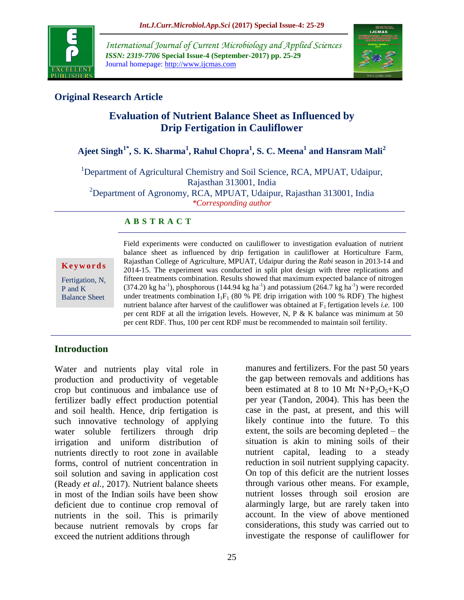

*International Journal of Current Microbiology and Applied Sciences ISSN: 2319-7706* **Special Issue-4 (September-2017) pp. 25-29** Journal homepage: http://www.ijcmas.com



## **Original Research Article**

## **Evaluation of Nutrient Balance Sheet as Influenced by Drip Fertigation in Cauliflower**

# **Ajeet Singh1\*, S. K. Sharma<sup>1</sup> , Rahul Chopra<sup>1</sup> , S. C. Meena<sup>1</sup> and Hansram Mali<sup>2</sup>**

<sup>1</sup>Department of Agricultural Chemistry and Soil Science, RCA, MPUAT, Udaipur, Rajasthan 313001, India <sup>2</sup>Department of Agronomy, RCA, MPUAT, Udaipur, Rajasthan 313001, India *\*Corresponding author*

## **A B S T R A C T**

**K e y w o r d s**

Fertigation, N, P and K Balance Sheet

Field experiments were conducted on cauliflower to investigation evaluation of nutrient balance sheet as influenced by drip fertigation in cauliflower at Horticulture Farm, Rajasthan College of Agriculture, MPUAT, Udaipur during the *Rabi* season in 2013-14 and 2014-15. The experiment was conducted in split plot design with three replications and fifteen treatments combination. Results showed that maximum expected balance of nitrogen  $(374.20 \text{ kg ha}^{-1})$ , phosphorous  $(144.94 \text{ kg ha}^{-1})$  and potassium  $(264.7 \text{ kg ha}^{-1})$  were recorded under treatments combination  $I_1F_1$  (80 % PE drip irrigation with 100 % RDF). The highest nutrient balance after harvest of the cauliflower was obtained at  $F_1$  fertigation levels *i.e.* 100 per cent RDF at all the irrigation levels. However, N, P & K balance was minimum at 50 per cent RDF. Thus, 100 per cent RDF must be recommended to maintain soil fertility.

## **Introduction**

Water and nutrients play vital role in production and productivity of vegetable crop but continuous and imbalance use of fertilizer badly effect production potential and soil health. Hence, drip fertigation is such innovative technology of applying water soluble fertilizers through drip irrigation and uniform distribution of nutrients directly to root zone in available forms, control of nutrient concentration in soil solution and saving in application cost (Ready *et al.,* 2017). Nutrient balance sheets in most of the Indian soils have been show deficient due to continue crop removal of nutrients in the soil. This is primarily because nutrient removals by crops far exceed the nutrient additions through

manures and fertilizers. For the past 50 years the gap between removals and additions has been estimated at 8 to 10 Mt  $N+P_2O_5+K_2O$ per year (Tandon, 2004). This has been the case in the past, at present, and this will likely continue into the future. To this extent, the soils are becoming depleted – the situation is akin to mining soils of their nutrient capital, leading to a steady reduction in soil nutrient supplying capacity. On top of this deficit are the nutrient losses through various other means. For example, nutrient losses through soil erosion are alarmingly large, but are rarely taken into account. In the view of above mentioned considerations, this study was carried out to investigate the response of cauliflower for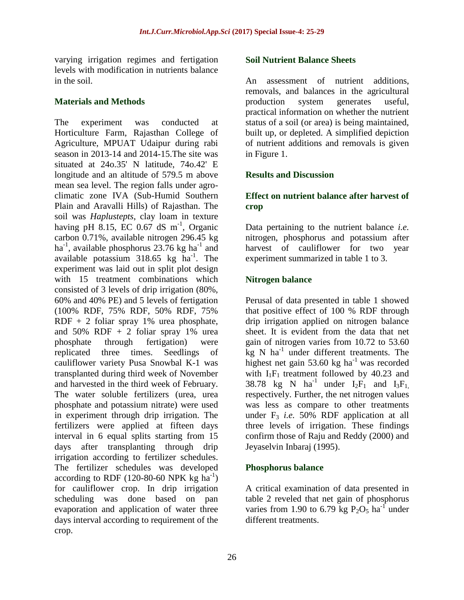varying irrigation regimes and fertigation levels with modification in nutrients balance in the soil.

### **Materials and Methods**

The experiment was conducted at Horticulture Farm, Rajasthan College of Agriculture, MPUAT Udaipur during rabi season in 2013-14 and 2014-15.The site was situated at 24o.35' N latitude, 74o.42' E longitude and an altitude of 579.5 m above mean sea level. The region falls under agroclimatic zone IVA (Sub-Humid Southern Plain and Aravalli Hills) of Rajasthan. The soil was *Haplustepts*, clay loam in texture having pH  $\overline{8.15}$ , EC 0.67 dS m<sup>-1</sup>, Organic carbon 0.71%, available nitrogen 296.45 kg ha<sup>-1</sup>, available phosphorus 23.76 kg ha<sup>-1</sup> and available potassium  $318.65$  kg ha<sup>-1</sup>. The experiment was laid out in split plot design with 15 treatment combinations which consisted of 3 levels of drip irrigation (80%, 60% and 40% PE) and 5 levels of fertigation (100% RDF, 75% RDF, 50% RDF, 75% RDF + 2 foliar spray  $1\%$  urea phosphate, and  $50\%$  RDF + 2 foliar spray 1% urea phosphate through fertigation) were replicated three times. Seedlings of cauliflower variety Pusa Snowbal K-1 was transplanted during third week of November and harvested in the third week of February. The water soluble fertilizers (urea, urea phosphate and potassium nitrate) were used in experiment through drip irrigation. The fertilizers were applied at fifteen days interval in 6 equal splits starting from 15 days after transplanting through drip irrigation according to fertilizer schedules. The fertilizer schedules was developed according to RDF (120-80-60 NPK  $kg \text{ ha}^{-1}$ ) for cauliflower crop. In drip irrigation scheduling was done based on pan evaporation and application of water three days interval according to requirement of the crop.

## **Soil Nutrient Balance Sheets**

An assessment of nutrient additions, removals, and balances in the agricultural production system generates useful, practical information on whether the nutrient status of a soil (or area) is being maintained, built up, or depleted. A simplified depiction of nutrient additions and removals is given in Figure 1.

## **Results and Discussion**

#### **Effect on nutrient balance after harvest of crop**

Data pertaining to the nutrient balance *i.e.* nitrogen, phosphorus and potassium after harvest of cauliflower for two year experiment summarized in table 1 to 3.

## **Nitrogen balance**

Perusal of data presented in table 1 showed that positive effect of 100 % RDF through drip irrigation applied on nitrogen balance sheet. It is evident from the data that net gain of nitrogen varies from 10.72 to 53.60  $kg$  N ha<sup>-1</sup> under different treatments. The highest net gain  $53.60 \text{ kg}$  ha<sup>-1</sup> was recorded with  $I_1F_1$  treatment followed by 40.23 and 38.78 kg N ha<sup>-1</sup> under  $I_2F_1$  and  $I_3F_1$ , respectively. Further, the net nitrogen values was less as compare to other treatments under  $F_3$  *i.e.* 50% RDF application at all three levels of irrigation. These findings confirm those of Raju and Reddy (2000) and Jeyaselvin Inbaraj (1995).

#### **Phosphorus balance**

A critical examination of data presented in table 2 reveled that net gain of phosphorus varies from 1.90 to 6.79 kg  $P_2O_5$  ha<sup>-1</sup> under different treatments.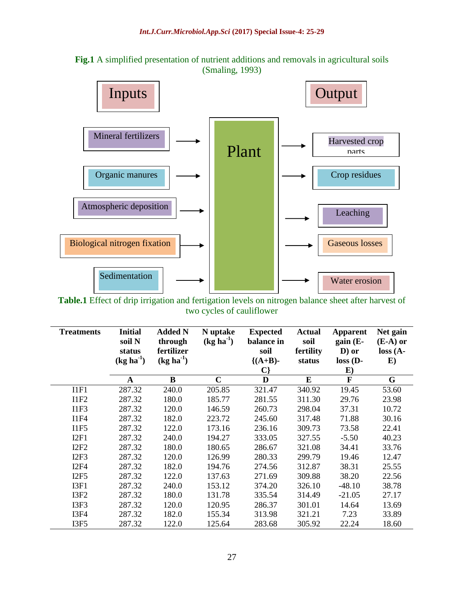



**Table.1** Effect of drip irrigation and fertigation levels on nitrogen balance sheet after harvest of two cycles of cauliflower

| <b>Treatments</b> | <b>Initial</b>   | <b>Added N</b>        | N uptake    | <b>Expected</b>    | <b>Actual</b>     | <b>Apparent</b>       | Net gain                 |
|-------------------|------------------|-----------------------|-------------|--------------------|-------------------|-----------------------|--------------------------|
|                   | soil N<br>status | through<br>fertilizer | $(kg ha-1)$ | balance in<br>soil | soil<br>fertility | $gain(E-$<br>$D$ ) or | $(E-A)$ or<br>$loss (A-$ |
|                   | $(kg ha-1)$      | $(kg ha-1)$           |             | ${(A+B)}$ -        | status            | $loss (D-$            | E)                       |
|                   |                  |                       |             | $\mathbf{C}\}$     |                   | E)                    |                          |
|                   | $\mathbf A$      | B                     | $\mathbf C$ | D                  | E                 | ${\bf F}$             | G                        |
| I1F1              | 287.32           | 240.0                 | 205.85      | 321.47             | 340.92            | 19.45                 | 53.60                    |
| I1F2              | 287.32           | 180.0                 | 185.77      | 281.55             | 311.30            | 29.76                 | 23.98                    |
| I1F3              | 287.32           | 120.0                 | 146.59      | 260.73             | 298.04            | 37.31                 | 10.72                    |
| I1F4              | 287.32           | 182.0                 | 223.72      | 245.60             | 317.48            | 71.88                 | 30.16                    |
| I1F5              | 287.32           | 122.0                 | 173.16      | 236.16             | 309.73            | 73.58                 | 22.41                    |
| I2F1              | 287.32           | 240.0                 | 194.27      | 333.05             | 327.55            | $-5.50$               | 40.23                    |
| I2F2              | 287.32           | 180.0                 | 180.65      | 286.67             | 321.08            | 34.41                 | 33.76                    |
| I2F3              | 287.32           | 120.0                 | 126.99      | 280.33             | 299.79            | 19.46                 | 12.47                    |
| I2F4              | 287.32           | 182.0                 | 194.76      | 274.56             | 312.87            | 38.31                 | 25.55                    |
| I2F5              | 287.32           | 122.0                 | 137.63      | 271.69             | 309.88            | 38.20                 | 22.56                    |
| I3F1              | 287.32           | 240.0                 | 153.12      | 374.20             | 326.10            | $-48.10$              | 38.78                    |
| I3F2              | 287.32           | 180.0                 | 131.78      | 335.54             | 314.49            | $-21.05$              | 27.17                    |
| I3F3              | 287.32           | 120.0                 | 120.95      | 286.37             | 301.01            | 14.64                 | 13.69                    |
| <b>I3F4</b>       | 287.32           | 182.0                 | 155.34      | 313.98             | 321.21            | 7.23                  | 33.89                    |
| <b>I3F5</b>       | 287.32           | 122.0                 | 125.64      | 283.68             | 305.92            | 22.24                 | 18.60                    |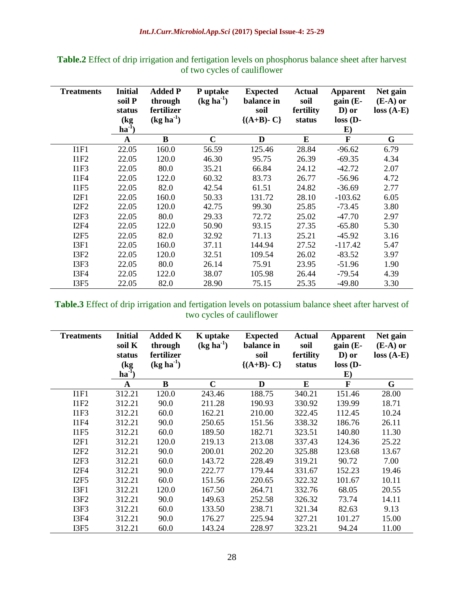| <b>Treatments</b> | <b>Initial</b><br>soil P | <b>Added P</b><br>through | P uptake<br>$(kg ha-1)$ | <b>Expected</b><br>balance in | <b>Actual</b><br>soil | <b>Apparent</b><br>$gain(E-$ | Net gain<br>$(E-A)$ or |
|-------------------|--------------------------|---------------------------|-------------------------|-------------------------------|-----------------------|------------------------------|------------------------|
|                   | status                   | fertilizer                |                         | soil                          | fertility             | $\bf{D}$ ) or                | $loss (A-E)$           |
|                   | $\log$                   | $(kg ha-1)$               |                         | ${(A+B)-C}$                   | status                | $loss(D-$                    |                        |
|                   | $ha^{-1}$                |                           |                         |                               |                       | E)                           |                        |
|                   | A                        | B                         | $\mathbf C$             | D                             | E                     | F                            | G                      |
| I1F1              | 22.05                    | 160.0                     | 56.59                   | 125.46                        | 28.84                 | $-96.62$                     | 6.79                   |
| I1F2              | 22.05                    | 120.0                     | 46.30                   | 95.75                         | 26.39                 | $-69.35$                     | 4.34                   |
| I1F3              | 22.05                    | 80.0                      | 35.21                   | 66.84                         | 24.12                 | $-42.72$                     | 2.07                   |
| I1F4              | 22.05                    | 122.0                     | 60.32                   | 83.73                         | 26.77                 | $-56.96$                     | 4.72                   |
| IIF5              | 22.05                    | 82.0                      | 42.54                   | 61.51                         | 24.82                 | $-36.69$                     | 2.77                   |
| I2F1              | 22.05                    | 160.0                     | 50.33                   | 131.72                        | 28.10                 | $-103.62$                    | 6.05                   |
| I2F2              | 22.05                    | 120.0                     | 42.75                   | 99.30                         | 25.85                 | $-73.45$                     | 3.80                   |
| I2F3              | 22.05                    | 80.0                      | 29.33                   | 72.72                         | 25.02                 | $-47.70$                     | 2.97                   |
| I2F4              | 22.05                    | 122.0                     | 50.90                   | 93.15                         | 27.35                 | $-65.80$                     | 5.30                   |
| I2F5              | 22.05                    | 82.0                      | 32.92                   | 71.13                         | 25.21                 | $-45.92$                     | 3.16                   |
| I3F1              | 22.05                    | 160.0                     | 37.11                   | 144.94                        | 27.52                 | $-117.42$                    | 5.47                   |
| I3F2              | 22.05                    | 120.0                     | 32.51                   | 109.54                        | 26.02                 | $-83.52$                     | 3.97                   |
| I3F3              | 22.05                    | 80.0                      | 26.14                   | 75.91                         | 23.95                 | $-51.96$                     | 1.90                   |
| I3F4              | 22.05                    | 122.0                     | 38.07                   | 105.98                        | 26.44                 | $-79.54$                     | 4.39                   |
| I3F5              | 22.05                    | 82.0                      | 28.90                   | 75.15                         | 25.35                 | $-49.80$                     | 3.30                   |

**Table.2** Effect of drip irrigation and fertigation levels on phosphorus balance sheet after harvest of two cycles of cauliflower

**Table.3** Effect of drip irrigation and fertigation levels on potassium balance sheet after harvest of two cycles of cauliflower

| <b>Treatments</b> | <b>Initial</b><br>soil K<br>status<br>(kg<br>$ha^{-1}$ | <b>Added K</b><br>through<br>fertilizer<br>$(kg ha-1)$ | K uptake<br>$(kg ha-1)$ | <b>Expected</b><br>balance in<br>soil<br>$\{(A+B)-C\}$ | <b>Actual</b><br>soil<br>fertility<br>status | <b>Apparent</b><br>gain (E-<br>$\bf{D}$ ) or<br>$loss (D-$<br>E) | Net gain<br>$(E-A)$ or<br>$loss (A-E)$ |
|-------------------|--------------------------------------------------------|--------------------------------------------------------|-------------------------|--------------------------------------------------------|----------------------------------------------|------------------------------------------------------------------|----------------------------------------|
|                   | $\mathbf{A}$                                           | B                                                      | $\mathbf C$             | D                                                      | E                                            | F                                                                | G                                      |
| I1F1              | 312.21                                                 | 120.0                                                  | 243.46                  | 188.75                                                 | 340.21                                       | 151.46                                                           | 28.00                                  |
| I1F2              | 312.21                                                 | 90.0                                                   | 211.28                  | 190.93                                                 | 330.92                                       | 139.99                                                           | 18.71                                  |
| IIF3              | 312.21                                                 | 60.0                                                   | 162.21                  | 210.00                                                 | 322.45                                       | 112.45                                                           | 10.24                                  |
| I1F4              | 312.21                                                 | 90.0                                                   | 250.65                  | 151.56                                                 | 338.32                                       | 186.76                                                           | 26.11                                  |
| IIF5              | 312.21                                                 | 60.0                                                   | 189.50                  | 182.71                                                 | 323.51                                       | 140.80                                                           | 11.30                                  |
| I2F1              | 312.21                                                 | 120.0                                                  | 219.13                  | 213.08                                                 | 337.43                                       | 124.36                                                           | 25.22                                  |
| I2F2              | 312.21                                                 | 90.0                                                   | 200.01                  | 202.20                                                 | 325.88                                       | 123.68                                                           | 13.67                                  |
| I2F3              | 312.21                                                 | 60.0                                                   | 143.72                  | 228.49                                                 | 319.21                                       | 90.72                                                            | 7.00                                   |
| I2F4              | 312.21                                                 | 90.0                                                   | 222.77                  | 179.44                                                 | 331.67                                       | 152.23                                                           | 19.46                                  |
| I2F5              | 312.21                                                 | 60.0                                                   | 151.56                  | 220.65                                                 | 322.32                                       | 101.67                                                           | 10.11                                  |
| I3F1              | 312.21                                                 | 120.0                                                  | 167.50                  | 264.71                                                 | 332.76                                       | 68.05                                                            | 20.55                                  |
| I3F2              | 312.21                                                 | 90.0                                                   | 149.63                  | 252.58                                                 | 326.32                                       | 73.74                                                            | 14.11                                  |
| I3F3              | 312.21                                                 | 60.0                                                   | 133.50                  | 238.71                                                 | 321.34                                       | 82.63                                                            | 9.13                                   |
| <b>I3F4</b>       | 312.21                                                 | 90.0                                                   | 176.27                  | 225.94                                                 | 327.21                                       | 101.27                                                           | 15.00                                  |
| I3F5              | 312.21                                                 | 60.0                                                   | 143.24                  | 228.97                                                 | 323.21                                       | 94.24                                                            | 11.00                                  |